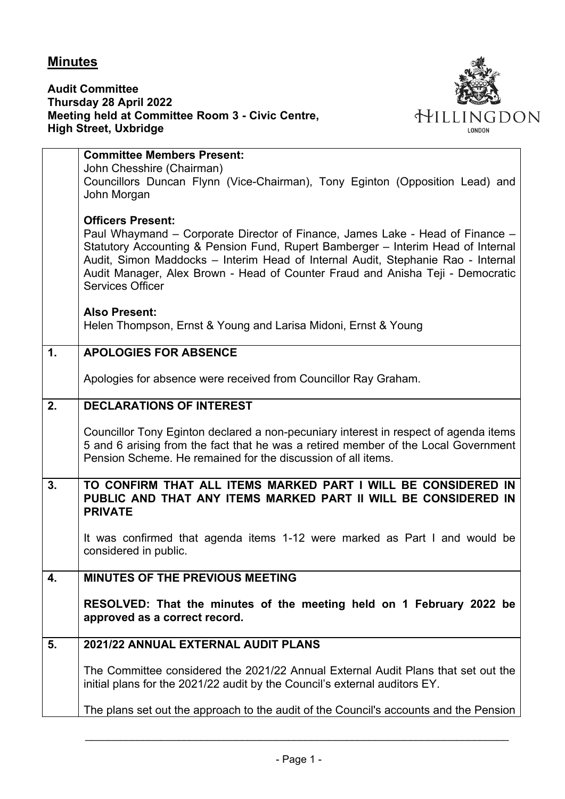## **Minutes**

**Audit Committee Thursday 28 April 2022 Meeting held at Committee Room 3 - Civic Centre, High Street, Uxbridge**



|                | <b>Committee Members Present:</b>                                                                         |
|----------------|-----------------------------------------------------------------------------------------------------------|
|                | John Chesshire (Chairman)                                                                                 |
|                | Councillors Duncan Flynn (Vice-Chairman), Tony Eginton (Opposition Lead) and                              |
|                | John Morgan                                                                                               |
|                |                                                                                                           |
|                | <b>Officers Present:</b><br>Paul Whaymand – Corporate Director of Finance, James Lake - Head of Finance – |
|                | Statutory Accounting & Pension Fund, Rupert Bamberger – Interim Head of Internal                          |
|                | Audit, Simon Maddocks - Interim Head of Internal Audit, Stephanie Rao - Internal                          |
|                | Audit Manager, Alex Brown - Head of Counter Fraud and Anisha Teji - Democratic                            |
|                | <b>Services Officer</b>                                                                                   |
|                |                                                                                                           |
|                | <b>Also Present:</b>                                                                                      |
|                | Helen Thompson, Ernst & Young and Larisa Midoni, Ernst & Young                                            |
| $\mathbf{1}$ . | <b>APOLOGIES FOR ABSENCE</b>                                                                              |
|                |                                                                                                           |
|                | Apologies for absence were received from Councillor Ray Graham.                                           |
| 2.             | <b>DECLARATIONS OF INTEREST</b>                                                                           |
|                |                                                                                                           |
|                | Councillor Tony Eginton declared a non-pecuniary interest in respect of agenda items                      |
|                | 5 and 6 arising from the fact that he was a retired member of the Local Government                        |
|                | Pension Scheme. He remained for the discussion of all items.                                              |
| 3.             | TO CONFIRM THAT ALL ITEMS MARKED PART I WILL BE CONSIDERED IN                                             |
|                | PUBLIC AND THAT ANY ITEMS MARKED PART II WILL BE CONSIDERED IN                                            |
|                | <b>PRIVATE</b>                                                                                            |
|                |                                                                                                           |
|                | It was confirmed that agenda items 1-12 were marked as Part I and would be                                |
|                | considered in public.                                                                                     |
| 4.             | <b>MINUTES OF THE PREVIOUS MEETING</b>                                                                    |
|                |                                                                                                           |
|                | RESOLVED: That the minutes of the meeting held on 1 February 2022 be                                      |
|                | approved as a correct record.                                                                             |
| 5.             | 2021/22 ANNUAL EXTERNAL AUDIT PLANS                                                                       |
|                |                                                                                                           |
|                | The Committee considered the 2021/22 Annual External Audit Plans that set out the                         |
|                | initial plans for the 2021/22 audit by the Council's external auditors EY.                                |
|                |                                                                                                           |
|                | The plans set out the approach to the audit of the Council's accounts and the Pension                     |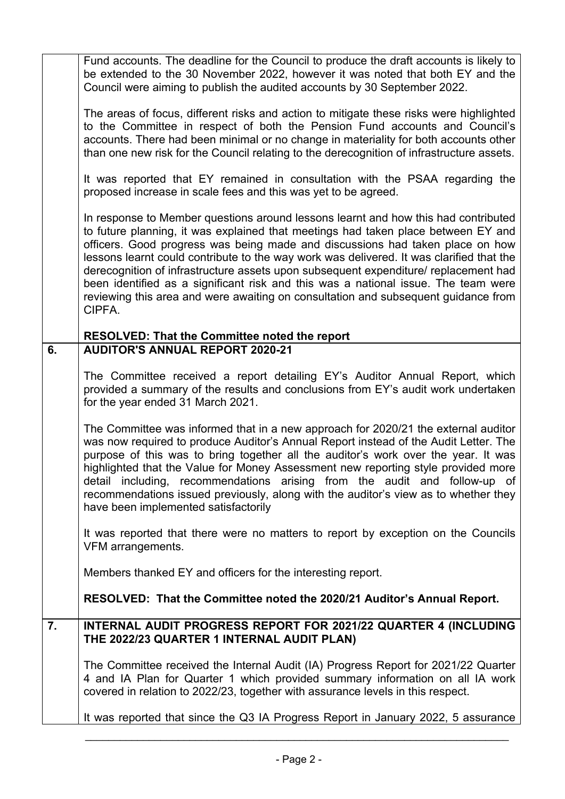|    | Fund accounts. The deadline for the Council to produce the draft accounts is likely to<br>be extended to the 30 November 2022, however it was noted that both EY and the<br>Council were aiming to publish the audited accounts by 30 September 2022.                                                                                                                                                                                                                                                                                                                                                                             |
|----|-----------------------------------------------------------------------------------------------------------------------------------------------------------------------------------------------------------------------------------------------------------------------------------------------------------------------------------------------------------------------------------------------------------------------------------------------------------------------------------------------------------------------------------------------------------------------------------------------------------------------------------|
|    | The areas of focus, different risks and action to mitigate these risks were highlighted<br>to the Committee in respect of both the Pension Fund accounts and Council's<br>accounts. There had been minimal or no change in materiality for both accounts other<br>than one new risk for the Council relating to the derecognition of infrastructure assets.                                                                                                                                                                                                                                                                       |
|    | It was reported that EY remained in consultation with the PSAA regarding the<br>proposed increase in scale fees and this was yet to be agreed.                                                                                                                                                                                                                                                                                                                                                                                                                                                                                    |
|    | In response to Member questions around lessons learnt and how this had contributed<br>to future planning, it was explained that meetings had taken place between EY and<br>officers. Good progress was being made and discussions had taken place on how<br>lessons learnt could contribute to the way work was delivered. It was clarified that the<br>derecognition of infrastructure assets upon subsequent expenditure/ replacement had<br>been identified as a significant risk and this was a national issue. The team were<br>reviewing this area and were awaiting on consultation and subsequent guidance from<br>CIPFA. |
|    | <b>RESOLVED: That the Committee noted the report</b>                                                                                                                                                                                                                                                                                                                                                                                                                                                                                                                                                                              |
| 6. | <b>AUDITOR'S ANNUAL REPORT 2020-21</b>                                                                                                                                                                                                                                                                                                                                                                                                                                                                                                                                                                                            |
|    | The Committee received a report detailing EY's Auditor Annual Report, which<br>provided a summary of the results and conclusions from EY's audit work undertaken<br>for the year ended 31 March 2021.                                                                                                                                                                                                                                                                                                                                                                                                                             |
|    | The Committee was informed that in a new approach for 2020/21 the external auditor<br>was now required to produce Auditor's Annual Report instead of the Audit Letter. The<br>purpose of this was to bring together all the auditor's work over the year. It was<br>highlighted that the Value for Money Assessment new reporting style provided more<br>detail including, recommendations arising from the audit and follow-up of<br>recommendations issued previously, along with the auditor's view as to whether they<br>have been implemented satisfactorily                                                                 |
|    | It was reported that there were no matters to report by exception on the Councils<br>VFM arrangements.                                                                                                                                                                                                                                                                                                                                                                                                                                                                                                                            |
|    | Members thanked EY and officers for the interesting report.                                                                                                                                                                                                                                                                                                                                                                                                                                                                                                                                                                       |
|    | RESOLVED: That the Committee noted the 2020/21 Auditor's Annual Report.                                                                                                                                                                                                                                                                                                                                                                                                                                                                                                                                                           |
| 7. | INTERNAL AUDIT PROGRESS REPORT FOR 2021/22 QUARTER 4 (INCLUDING<br>THE 2022/23 QUARTER 1 INTERNAL AUDIT PLAN)                                                                                                                                                                                                                                                                                                                                                                                                                                                                                                                     |
|    | The Committee received the Internal Audit (IA) Progress Report for 2021/22 Quarter<br>4 and IA Plan for Quarter 1 which provided summary information on all IA work<br>covered in relation to 2022/23, together with assurance levels in this respect.                                                                                                                                                                                                                                                                                                                                                                            |
|    | It was reported that since the Q3 IA Progress Report in January 2022, 5 assurance                                                                                                                                                                                                                                                                                                                                                                                                                                                                                                                                                 |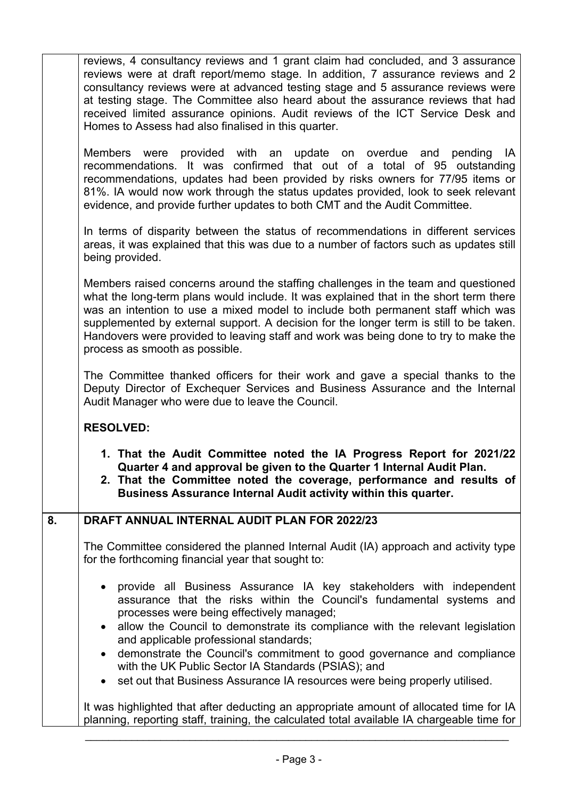|    | reviews, 4 consultancy reviews and 1 grant claim had concluded, and 3 assurance<br>reviews were at draft report/memo stage. In addition, 7 assurance reviews and 2<br>consultancy reviews were at advanced testing stage and 5 assurance reviews were<br>at testing stage. The Committee also heard about the assurance reviews that had<br>received limited assurance opinions. Audit reviews of the ICT Service Desk and<br>Homes to Assess had also finalised in this quarter. |
|----|-----------------------------------------------------------------------------------------------------------------------------------------------------------------------------------------------------------------------------------------------------------------------------------------------------------------------------------------------------------------------------------------------------------------------------------------------------------------------------------|
|    | Members were provided with an update on overdue and<br>pending<br><b>IA</b><br>recommendations. It was confirmed that out of a total of 95 outstanding<br>recommendations, updates had been provided by risks owners for 77/95 items or<br>81%. IA would now work through the status updates provided, look to seek relevant<br>evidence, and provide further updates to both CMT and the Audit Committee.                                                                        |
|    | In terms of disparity between the status of recommendations in different services<br>areas, it was explained that this was due to a number of factors such as updates still<br>being provided.                                                                                                                                                                                                                                                                                    |
|    | Members raised concerns around the staffing challenges in the team and questioned<br>what the long-term plans would include. It was explained that in the short term there<br>was an intention to use a mixed model to include both permanent staff which was<br>supplemented by external support. A decision for the longer term is still to be taken.<br>Handovers were provided to leaving staff and work was being done to try to make the<br>process as smooth as possible.  |
|    | The Committee thanked officers for their work and gave a special thanks to the<br>Deputy Director of Exchequer Services and Business Assurance and the Internal<br>Audit Manager who were due to leave the Council.                                                                                                                                                                                                                                                               |
|    | <b>RESOLVED:</b>                                                                                                                                                                                                                                                                                                                                                                                                                                                                  |
|    | 1. That the Audit Committee noted the IA Progress Report for 2021/22<br>Quarter 4 and approval be given to the Quarter 1 Internal Audit Plan.<br>2. That the Committee noted the coverage, performance and results of<br>Business Assurance Internal Audit activity within this quarter.                                                                                                                                                                                          |
| 8. | DRAFT ANNUAL INTERNAL AUDIT PLAN FOR 2022/23                                                                                                                                                                                                                                                                                                                                                                                                                                      |
|    | The Committee considered the planned Internal Audit (IA) approach and activity type<br>for the forthcoming financial year that sought to:                                                                                                                                                                                                                                                                                                                                         |
|    | provide all Business Assurance IA key stakeholders with independent<br>$\bullet$<br>assurance that the risks within the Council's fundamental systems and<br>processes were being effectively managed;<br>allow the Council to demonstrate its compliance with the relevant legislation<br>$\bullet$<br>and applicable professional standards;<br>demonstrate the Council's commitment to good governance and compliance                                                          |
|    | with the UK Public Sector IA Standards (PSIAS); and<br>set out that Business Assurance IA resources were being properly utilised.                                                                                                                                                                                                                                                                                                                                                 |
|    | It was highlighted that after deducting an appropriate amount of allocated time for IA<br>planning, reporting staff, training, the calculated total available IA chargeable time for                                                                                                                                                                                                                                                                                              |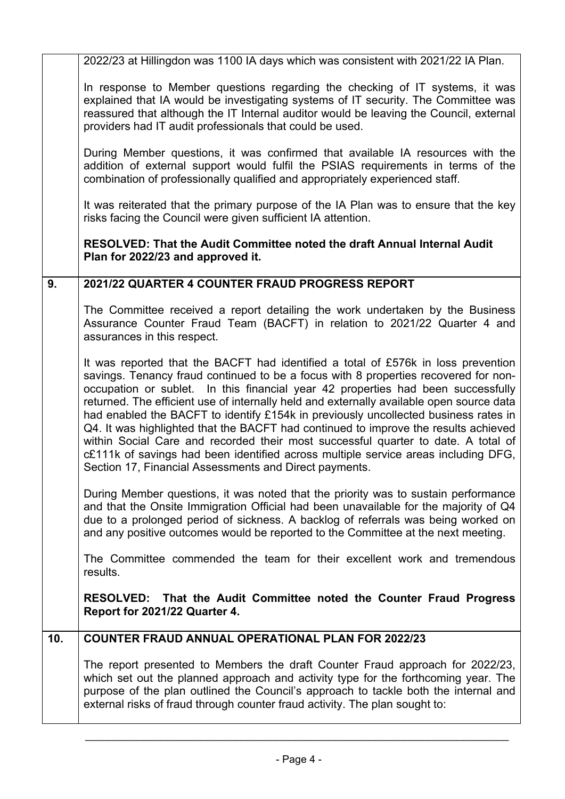| 2022/23 at Hillingdon was 1100 IA days which was consistent with 2021/22 IA Plan.                                                                                                                                                                                                                                                                                                                                                                                                                                                                                                                                                                                                                                                                                           |  |
|-----------------------------------------------------------------------------------------------------------------------------------------------------------------------------------------------------------------------------------------------------------------------------------------------------------------------------------------------------------------------------------------------------------------------------------------------------------------------------------------------------------------------------------------------------------------------------------------------------------------------------------------------------------------------------------------------------------------------------------------------------------------------------|--|
| In response to Member questions regarding the checking of IT systems, it was<br>explained that IA would be investigating systems of IT security. The Committee was<br>reassured that although the IT Internal auditor would be leaving the Council, external<br>providers had IT audit professionals that could be used.                                                                                                                                                                                                                                                                                                                                                                                                                                                    |  |
| During Member questions, it was confirmed that available IA resources with the<br>addition of external support would fulfil the PSIAS requirements in terms of the<br>combination of professionally qualified and appropriately experienced staff.                                                                                                                                                                                                                                                                                                                                                                                                                                                                                                                          |  |
| It was reiterated that the primary purpose of the IA Plan was to ensure that the key<br>risks facing the Council were given sufficient IA attention.                                                                                                                                                                                                                                                                                                                                                                                                                                                                                                                                                                                                                        |  |
| RESOLVED: That the Audit Committee noted the draft Annual Internal Audit<br>Plan for 2022/23 and approved it.                                                                                                                                                                                                                                                                                                                                                                                                                                                                                                                                                                                                                                                               |  |
| 9.<br>2021/22 QUARTER 4 COUNTER FRAUD PROGRESS REPORT                                                                                                                                                                                                                                                                                                                                                                                                                                                                                                                                                                                                                                                                                                                       |  |
| The Committee received a report detailing the work undertaken by the Business<br>Assurance Counter Fraud Team (BACFT) in relation to 2021/22 Quarter 4 and<br>assurances in this respect.                                                                                                                                                                                                                                                                                                                                                                                                                                                                                                                                                                                   |  |
| It was reported that the BACFT had identified a total of £576k in loss prevention<br>savings. Tenancy fraud continued to be a focus with 8 properties recovered for non-<br>occupation or sublet. In this financial year 42 properties had been successfully<br>returned. The efficient use of internally held and externally available open source data<br>had enabled the BACFT to identify £154k in previously uncollected business rates in<br>Q4. It was highlighted that the BACFT had continued to improve the results achieved<br>within Social Care and recorded their most successful quarter to date. A total of<br>c£111k of savings had been identified across multiple service areas including DFG,<br>Section 17, Financial Assessments and Direct payments. |  |
| During Member questions, it was noted that the priority was to sustain performance<br>and that the Onsite Immigration Official had been unavailable for the majority of Q4<br>due to a prolonged period of sickness. A backlog of referrals was being worked on<br>and any positive outcomes would be reported to the Committee at the next meeting.                                                                                                                                                                                                                                                                                                                                                                                                                        |  |
| The Committee commended the team for their excellent work and tremendous<br>results.                                                                                                                                                                                                                                                                                                                                                                                                                                                                                                                                                                                                                                                                                        |  |
| RESOLVED: That the Audit Committee noted the Counter Fraud Progress<br>Report for 2021/22 Quarter 4.                                                                                                                                                                                                                                                                                                                                                                                                                                                                                                                                                                                                                                                                        |  |
| 10.<br><b>COUNTER FRAUD ANNUAL OPERATIONAL PLAN FOR 2022/23</b>                                                                                                                                                                                                                                                                                                                                                                                                                                                                                                                                                                                                                                                                                                             |  |
| The report presented to Members the draft Counter Fraud approach for 2022/23,<br>which set out the planned approach and activity type for the forthcoming year. The<br>purpose of the plan outlined the Council's approach to tackle both the internal and<br>external risks of fraud through counter fraud activity. The plan sought to:                                                                                                                                                                                                                                                                                                                                                                                                                                   |  |